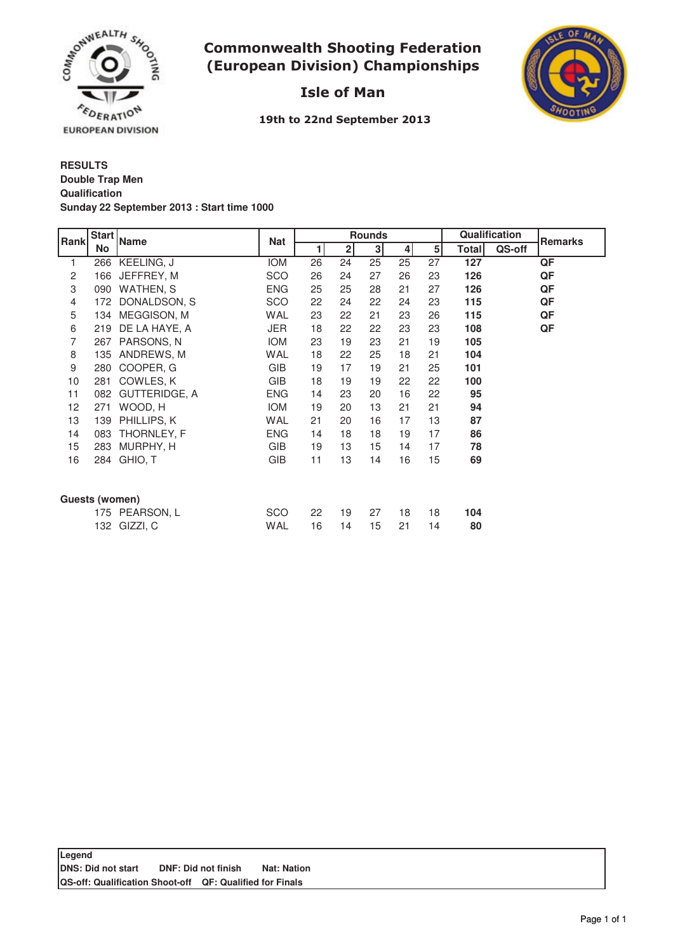

## **Commonwealth Shooting Federation** (European Division) Championships



# Isle of Man

19th to 22nd September 2013

## **RESULTS Qualification Sunday 22 September 2013 : Start time 1000 Double Trap Men**

| Rank           | <b>Start</b><br>No | <b>Name</b>   | <b>Nat</b> | <b>Rounds</b>  |                |                |                |                | Qualification |        | Remarks |
|----------------|--------------------|---------------|------------|----------------|----------------|----------------|----------------|----------------|---------------|--------|---------|
|                |                    |               |            | $\blacksquare$ | $\overline{2}$ | 3 <sup>1</sup> | 4 <sup>1</sup> | 5 <sup>1</sup> | Totall        | QS-off |         |
| 1              | 266                | KEELING, J    | <b>IOM</b> | 26             | 24             | 25             | 25             | 27             | 127           |        | QF      |
| 2              | 166                | JEFFREY, M    | SCO        | 26             | 24             | 27             | 26             | 23             | 126           |        | QF      |
| 3              | 090                | WATHEN, S     | <b>ENG</b> | 25             | 25             | 28             | 21             | 27             | 126           |        | QF      |
| 4              | 172                | DONALDSON, S  | SCO        | 22             | 24             | 22             | 24             | 23             | 115           |        | QF      |
| 5              | 134                | MEGGISON, M   | WAL        | 23             | 22             | 21             | 23             | 26             | 115           |        | QF      |
| 6              | 219                | DE LA HAYE, A | JER        | 18             | 22             | 22             | 23             | 23             | 108           |        | QF      |
| 7              | 267                | PARSONS, N    | <b>IOM</b> | 23             | 19             | 23             | 21             | 19             | 105           |        |         |
| 8              | 135                | ANDREWS, M    | WAL        | 18             | 22             | 25             | 18             | 21             | 104           |        |         |
| 9              | 280                | COOPER, G     | GIB        | 19             | 17             | 19             | 21             | 25             | 101           |        |         |
| 10             | 281                | COWLES, K     | <b>GIB</b> | 18             | 19             | 19             | 22             | 22             | 100           |        |         |
| 11             | 082                | GUTTERIDGE, A | <b>ENG</b> | 14             | 23             | 20             | 16             | 22             | 95            |        |         |
| 12             | 271                | WOOD, H       | <b>IOM</b> | 19             | 20             | 13             | 21             | 21             | 94            |        |         |
| 13             | 139                | PHILLIPS, K   | WAL        | 21             | 20             | 16             | 17             | 13             | 87            |        |         |
| 14             | 083                | THORNLEY, F   | <b>ENG</b> | 14             | 18             | 18             | 19             | 17             | 86            |        |         |
| 15             | 283                | MURPHY, H     | <b>GIB</b> | 19             | 13             | 15             | 14             | 17             | 78            |        |         |
| 16             | 284                | GHIO, T       | <b>GIB</b> | 11             | 13             | 14             | 16             | 15             | 69            |        |         |
|                |                    |               |            |                |                |                |                |                |               |        |         |
| Guests (women) |                    |               |            |                |                |                |                |                |               |        |         |
|                | 175                | PEARSON, L    | <b>SCO</b> | 22             | 19             | 27             | 18             | 18             | 104           |        |         |
|                | 132                | GIZZI, C      | WAL        | 16             | 14             | 15             | 21             | 14             | 80            |        |         |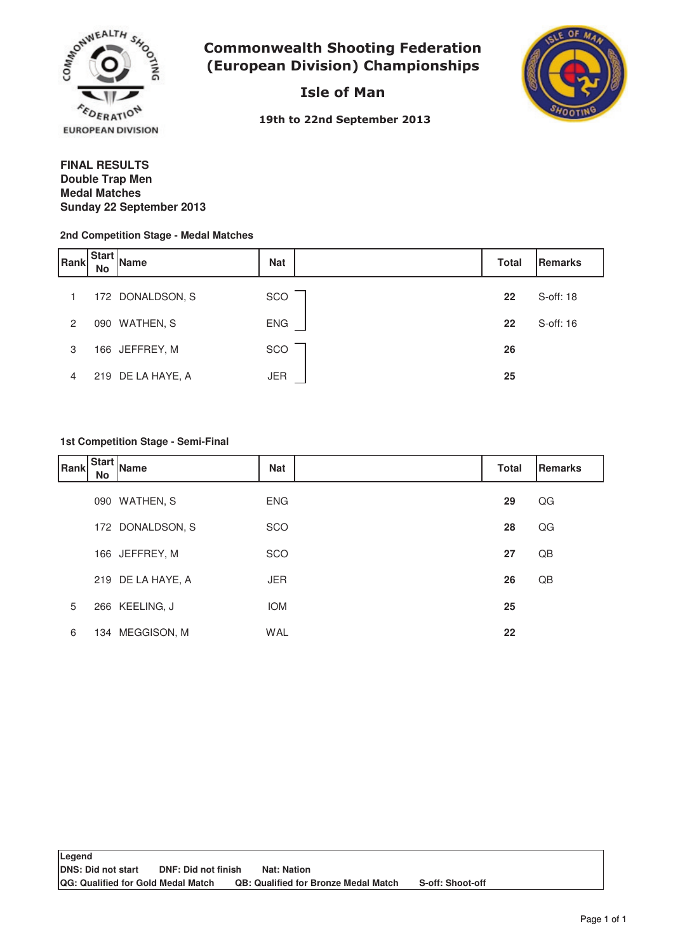

**Commonwealth Shooting Federation** (European Division) Championships

Isle of Man



19th to 22nd September 2013

#### **FINAL RESULTS Medal Matches Sunday 22 September 2013 Double Trap Men**

#### **2nd Competition Stage - Medal Matches**

| Rank           | <b>Start</b><br><b>No</b> | <b>Name</b>       | <b>Nat</b> | <b>Total</b> | Remarks   |
|----------------|---------------------------|-------------------|------------|--------------|-----------|
|                |                           | 172 DONALDSON, S  | SCO        | 22           | S-off: 18 |
| $\overline{2}$ |                           | 090 WATHEN, S     | <b>ENG</b> | 22           | S-off: 16 |
| 3              |                           | 166 JEFFREY, M    | SCO        | 26           |           |
| 4              |                           | 219 DE LA HAYE, A | JER        | 25           |           |

#### **1st Competition Stage - Semi-Final**

| <b>Rank</b> | No | .   Start   Name  | <b>Nat</b> | <b>Total</b> | <b>Remarks</b> |
|-------------|----|-------------------|------------|--------------|----------------|
|             |    | 090 WATHEN, S     | <b>ENG</b> | 29           | QG             |
|             |    | 172 DONALDSON, S  | SCO        | 28           | QG             |
|             |    | 166 JEFFREY, M    | SCO        | 27           | QB             |
|             |    | 219 DE LA HAYE, A | <b>JER</b> | 26           | QB             |
| 5           |    | 266 KEELING, J    | <b>IOM</b> | 25           |                |
| 6           |    | 134 MEGGISON, M   | <b>WAL</b> | 22           |                |